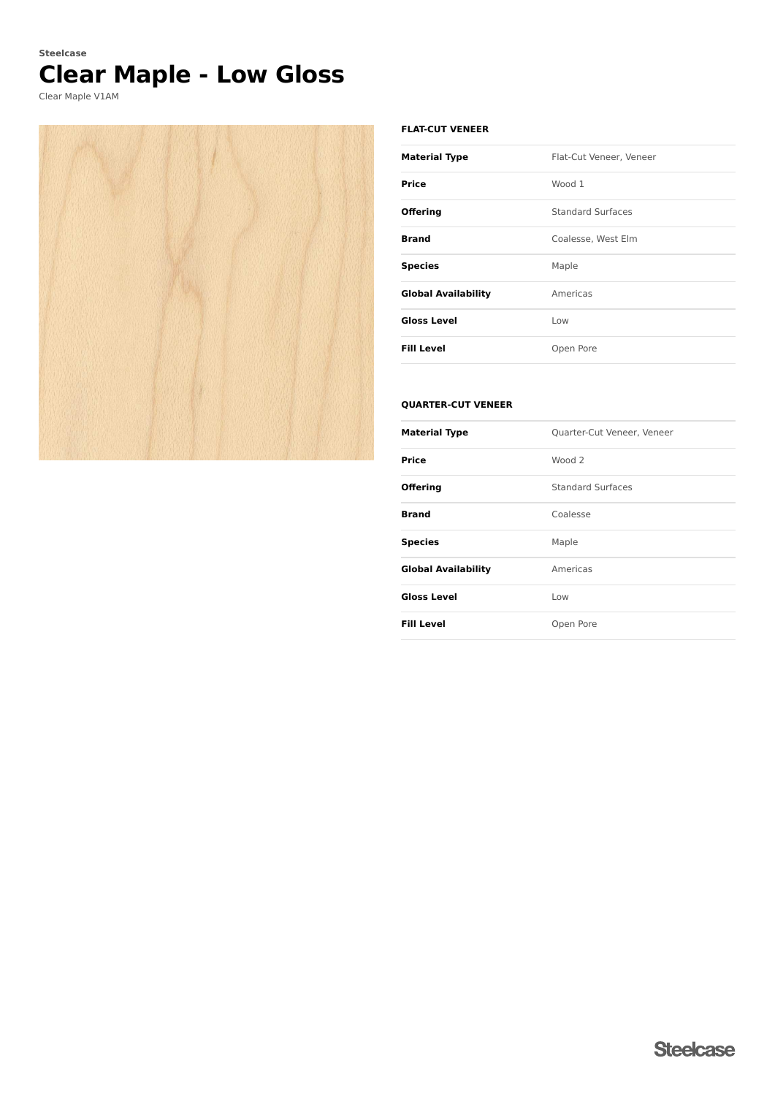# **Clear Maple - Low Gloss Steelcase**

Clear Maple V1AM



#### **FLAT-CUT VENEER**

| <b>Material Type</b>       | Flat-Cut Veneer, Veneer  |
|----------------------------|--------------------------|
| Price                      | Wood 1                   |
| <b>Offering</b>            | <b>Standard Surfaces</b> |
| <b>Brand</b>               | Coalesse, West Elm       |
| <b>Species</b>             | Maple                    |
| <b>Global Availability</b> | Americas                 |
| <b>Gloss Level</b>         | Low                      |
| <b>Fill Level</b>          | Open Pore                |

### **QUARTER-CUT VENEER**

| <b>Material Type</b>       | Quarter-Cut Veneer, Veneer |
|----------------------------|----------------------------|
| <b>Price</b>               | Wood <sub>2</sub>          |
| <b>Offering</b>            | <b>Standard Surfaces</b>   |
| <b>Brand</b>               | Coalesse                   |
| <b>Species</b>             | Maple                      |
| <b>Global Availability</b> | Americas                   |
| <b>Gloss Level</b>         | Low                        |
| <b>Fill Level</b>          | Open Pore                  |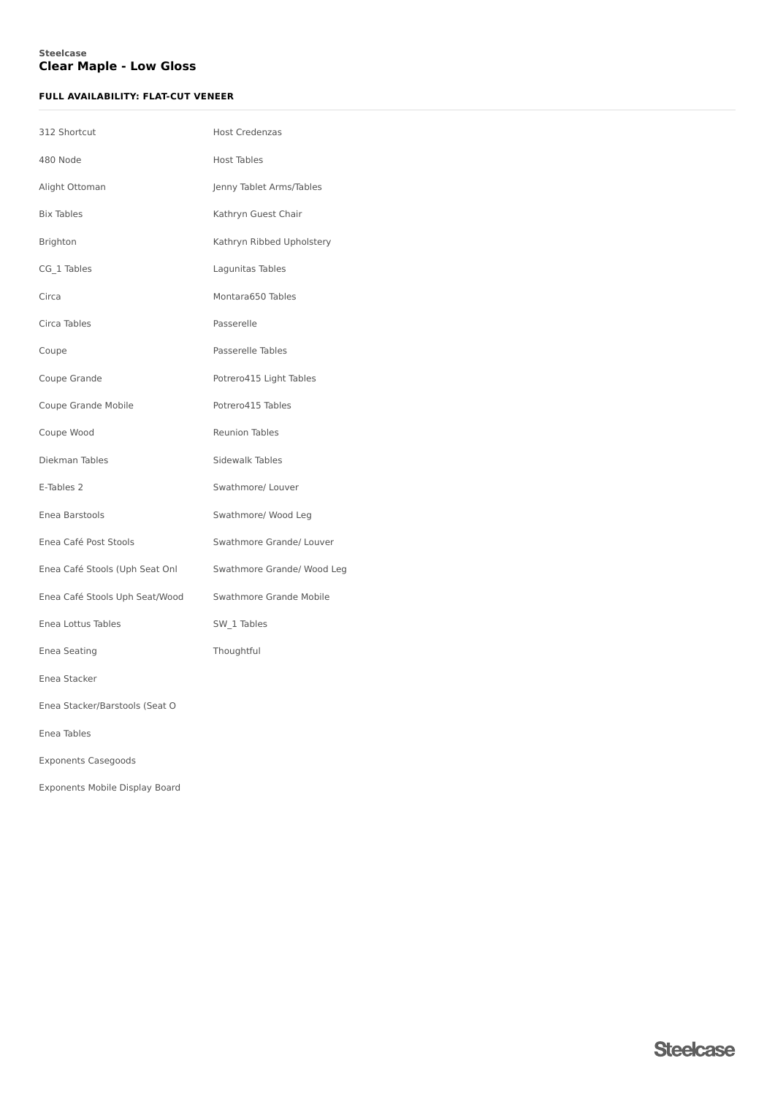### **Clear Maple - Low Gloss Steelcase**

### **FULL AVAILABILITY: FLAT-CUT VENEER**

| 312 Shortcut                   | <b>Host Credenzas</b>      |
|--------------------------------|----------------------------|
| 480 Node                       | Host Tables                |
| Alight Ottoman                 | Jenny Tablet Arms/Tables   |
| <b>Bix Tables</b>              | Kathryn Guest Chair        |
| Brighton                       | Kathryn Ribbed Upholstery  |
| CG_1 Tables                    | Lagunitas Tables           |
| Circa                          | Montara650 Tables          |
| Circa Tables                   | Passerelle                 |
| Coupe                          | Passerelle Tables          |
| Coupe Grande                   | Potrero415 Light Tables    |
| Coupe Grande Mobile            | Potrero415 Tables          |
| Coupe Wood                     | <b>Reunion Tables</b>      |
| Diekman Tables                 | Sidewalk Tables            |
| E-Tables 2                     | Swathmore/ Louver          |
| Enea Barstools                 | Swathmore/ Wood Leg        |
| Enea Café Post Stools          | Swathmore Grande/ Louver   |
| Enea Café Stools (Uph Seat Onl | Swathmore Grande/ Wood Leg |
| Enea Café Stools Uph Seat/Wood | Swathmore Grande Mobile    |
| Enea Lottus Tables             | SW_1 Tables                |
| Enea Seating                   | Thoughtful                 |
| Enea Stacker                   |                            |
| Enea Stacker/Barstools (Seat O |                            |
| Enea Tables                    |                            |
| <b>Exponents Casegoods</b>     |                            |
| Exponents Mobile Display Board |                            |